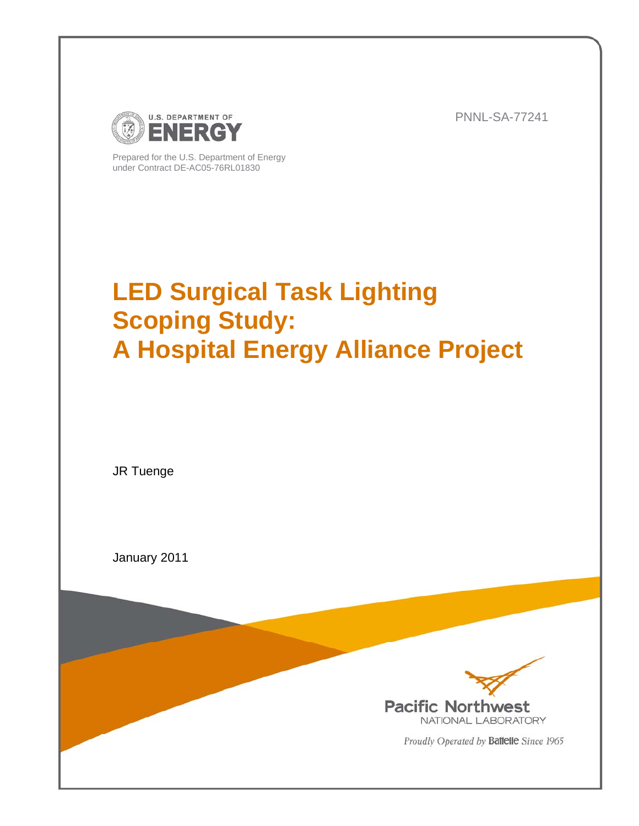

PNNL-SA-77241

Prepared for the U.S. Department of Energy under Contract DE-AC05-76RL01830

# **LED Surgical Task Lighting Scoping Study: A Hospital Energy Alliance Project**

JR Tuenge

January 2011



Proudly Operated by Battelle Since 1965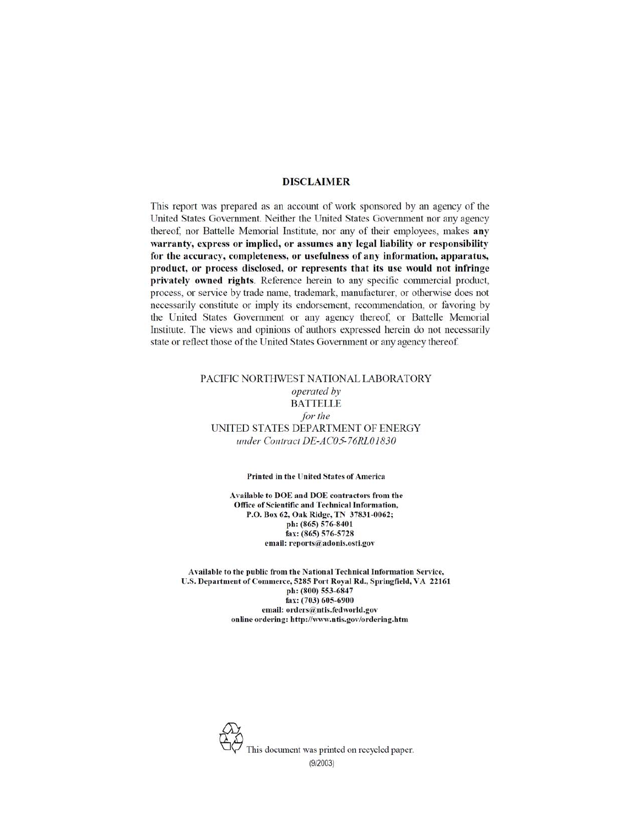#### **DISCLAIMER**

This report was prepared as an account of work sponsored by an agency of the United States Government. Neither the United States Government nor any agency thereof, nor Battelle Memorial Institute, nor any of their employees, makes any warranty, express or implied, or assumes any legal liability or responsibility for the accuracy, completeness, or usefulness of any information, apparatus, product, or process disclosed, or represents that its use would not infringe privately owned rights. Reference herein to any specific commercial product, process, or service by trade name, trademark, manufacturer, or otherwise does not necessarily constitute or imply its endorsement, recommendation, or favoring by the United States Government or any agency thereof, or Battelle Memorial Institute. The views and opinions of authors expressed herein do not necessarily state or reflect those of the United States Government or any agency thereof.

#### PACIFIC NORTHWEST NATIONAL LABORATORY operated by **BATTELLE** for the UNITED STATES DEPARTMENT OF ENERGY under Contract DE-AC05-76RL01830

#### Printed in the United States of America

Available to DOE and DOE contractors from the Office of Scientific and Technical Information, P.O. Box 62, Oak Ridge, TN 37831-0062; ph: (865) 576-8401 fax: (865) 576-5728 email: reports@adonis.osti.gov

Available to the public from the National Technical Information Service, U.S. Department of Commerce, 5285 Port Royal Rd., Springfield, VA 22161 ph: (800) 553-6847 fax: (703) 605-6900 email: orders@ntis.fedworld.gov online ordering: http://www.ntis.gov/ordering.htm



 $(9/2003)$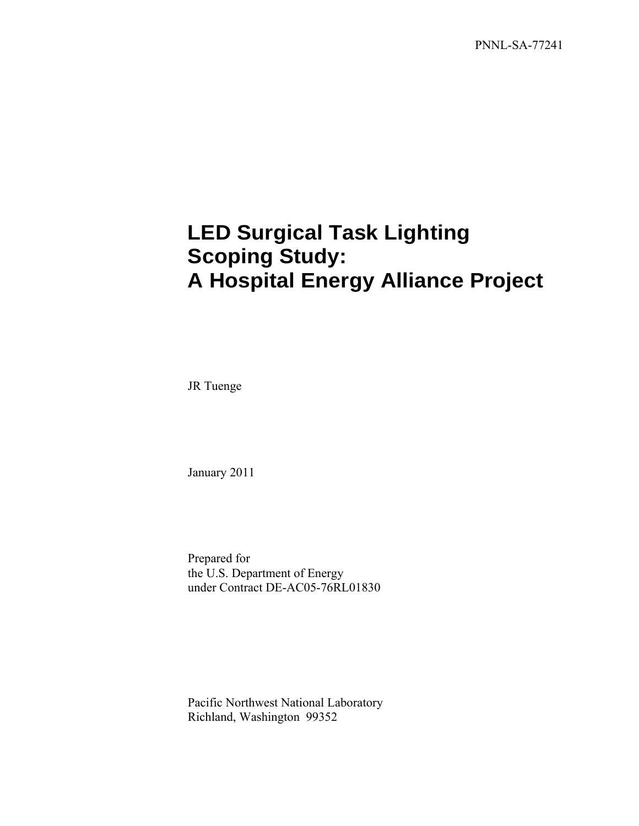PNNL-SA-77241

# **LED Surgical Task Lighting Scoping Study: A Hospital Energy Alliance Project**

JR Tuenge

January 2011

Prepared for the U.S. Department of Energy under Contract DE-AC05-76RL01830

Pacific Northwest National Laboratory Richland, Washington 99352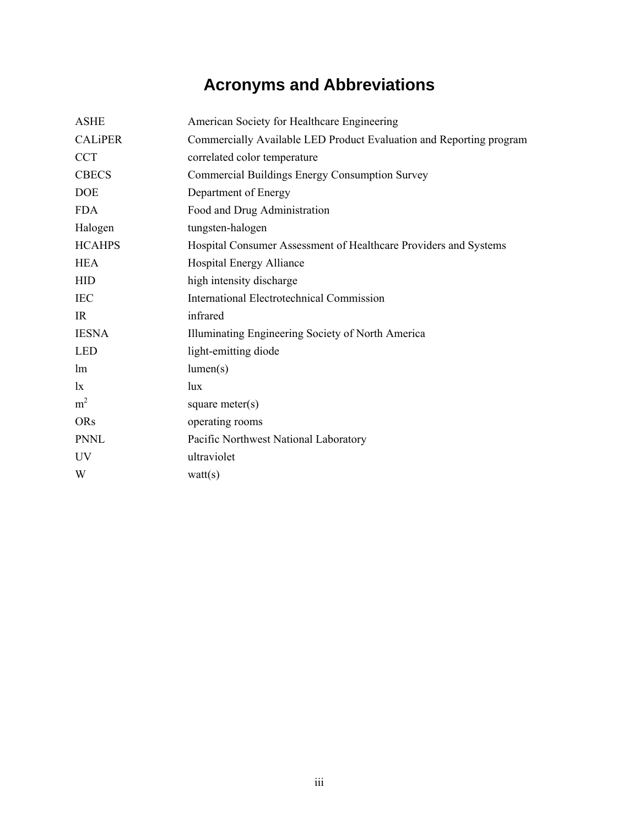# **Acronyms and Abbreviations**

| <b>ASHE</b>    | American Society for Healthcare Engineering                         |
|----------------|---------------------------------------------------------------------|
| <b>CALIPER</b> | Commercially Available LED Product Evaluation and Reporting program |
| <b>CCT</b>     | correlated color temperature                                        |
| <b>CBECS</b>   | Commercial Buildings Energy Consumption Survey                      |
| <b>DOE</b>     | Department of Energy                                                |
| <b>FDA</b>     | Food and Drug Administration                                        |
| Halogen        | tungsten-halogen                                                    |
| <b>HCAHPS</b>  | Hospital Consumer Assessment of Healthcare Providers and Systems    |
| <b>HEA</b>     | Hospital Energy Alliance                                            |
| <b>HID</b>     | high intensity discharge                                            |
| <b>IEC</b>     | <b>International Electrotechnical Commission</b>                    |
| IR             | infrared                                                            |
| <b>IESNA</b>   | Illuminating Engineering Society of North America                   |
| <b>LED</b>     | light-emitting diode                                                |
| lm             | lumen(s)                                                            |
| $\mathbf{I}$   | lux                                                                 |
| m <sup>2</sup> | square meter $(s)$                                                  |
| <b>ORs</b>     | operating rooms                                                     |
| <b>PNNL</b>    | Pacific Northwest National Laboratory                               |
| <b>UV</b>      | ultraviolet                                                         |
| W              | watt(s)                                                             |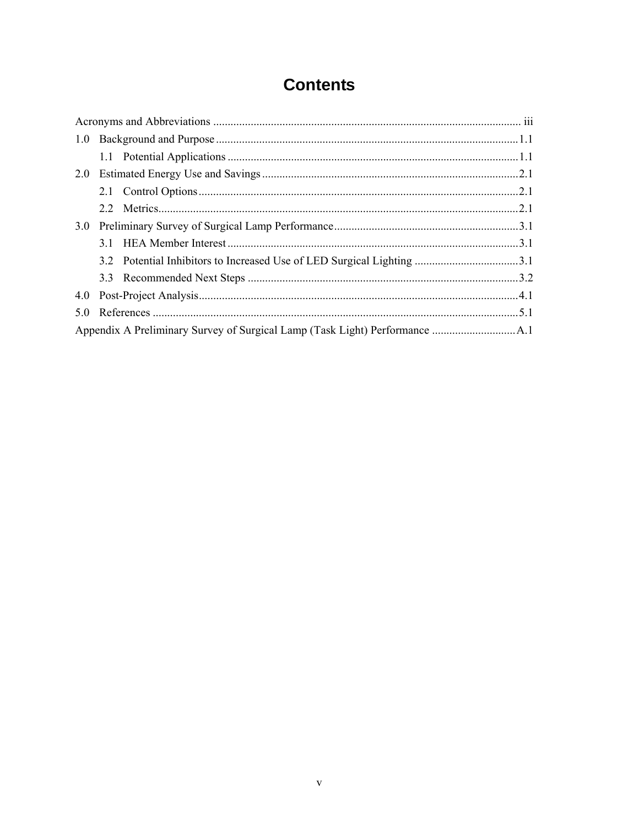## **Contents**

| 1.0 |  |  |  |
|-----|--|--|--|
|     |  |  |  |
| 2.0 |  |  |  |
|     |  |  |  |
|     |  |  |  |
| 3.0 |  |  |  |
|     |  |  |  |
|     |  |  |  |
|     |  |  |  |
| 4.0 |  |  |  |
| 5.0 |  |  |  |
|     |  |  |  |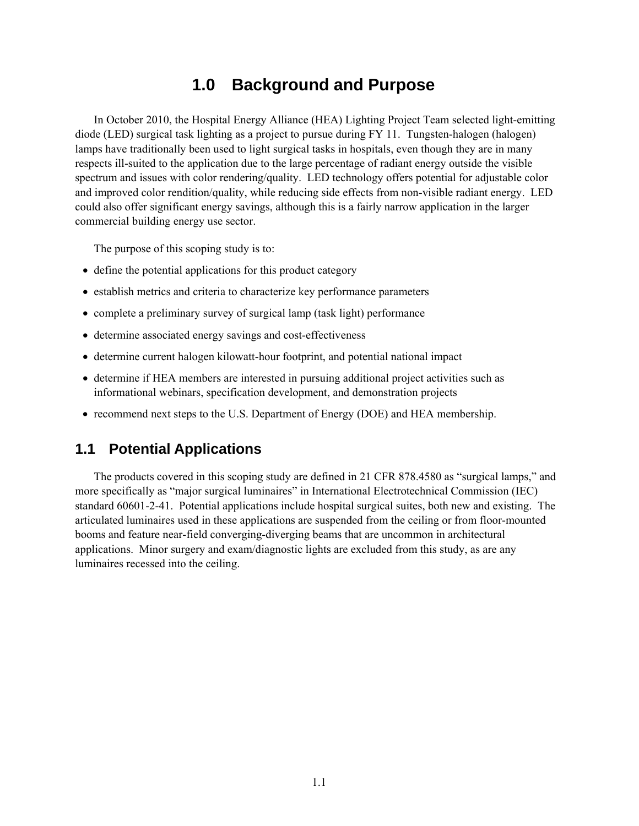### **1.0 Background and Purpose**

In October 2010, the Hospital Energy Alliance (HEA) Lighting Project Team selected light-emitting diode (LED) surgical task lighting as a project to pursue during FY 11. Tungsten-halogen (halogen) lamps have traditionally been used to light surgical tasks in hospitals, even though they are in many respects ill-suited to the application due to the large percentage of radiant energy outside the visible spectrum and issues with color rendering/quality. LED technology offers potential for adjustable color and improved color rendition/quality, while reducing side effects from non-visible radiant energy. LED could also offer significant energy savings, although this is a fairly narrow application in the larger commercial building energy use sector.

The purpose of this scoping study is to:

- define the potential applications for this product category
- establish metrics and criteria to characterize key performance parameters
- complete a preliminary survey of surgical lamp (task light) performance
- determine associated energy savings and cost-effectiveness
- determine current halogen kilowatt-hour footprint, and potential national impact
- determine if HEA members are interested in pursuing additional project activities such as informational webinars, specification development, and demonstration projects
- recommend next steps to the U.S. Department of Energy (DOE) and HEA membership.

### **1.1 Potential Applications**

The products covered in this scoping study are defined in 21 CFR 878.4580 as "surgical lamps," and more specifically as "major surgical luminaires" in International Electrotechnical Commission (IEC) standard 60601-2-41. Potential applications include hospital surgical suites, both new and existing. The articulated luminaires used in these applications are suspended from the ceiling or from floor-mounted booms and feature near-field converging-diverging beams that are uncommon in architectural applications. Minor surgery and exam/diagnostic lights are excluded from this study, as are any luminaires recessed into the ceiling.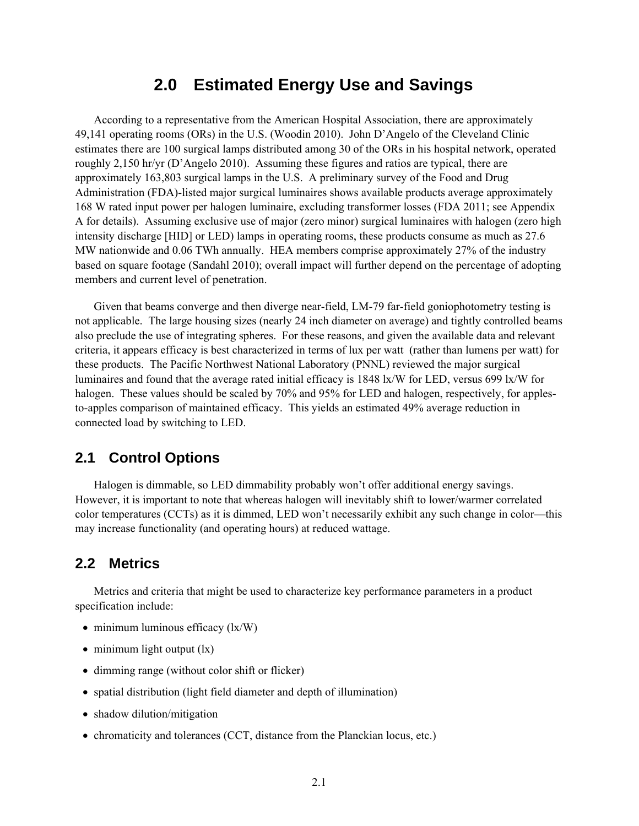#### **2.0 Estimated Energy Use and Savings**

According to a representative from the American Hospital Association, there are approximately 49,141 operating rooms (ORs) in the U.S. (Woodin 2010). John D'Angelo of the Cleveland Clinic estimates there are 100 surgical lamps distributed among 30 of the ORs in his hospital network, operated roughly 2,150 hr/yr (D'Angelo 2010). Assuming these figures and ratios are typical, there are approximately 163,803 surgical lamps in the U.S. A preliminary survey of the Food and Drug Administration (FDA)-listed major surgical luminaires shows available products average approximately 168 W rated input power per halogen luminaire, excluding transformer losses (FDA 2011; see Appendix A for details). Assuming exclusive use of major (zero minor) surgical luminaires with halogen (zero high intensity discharge [HID] or LED) lamps in operating rooms, these products consume as much as 27.6 MW nationwide and 0.06 TWh annually. HEA members comprise approximately 27% of the industry based on square footage (Sandahl 2010); overall impact will further depend on the percentage of adopting members and current level of penetration.

Given that beams converge and then diverge near-field, LM-79 far-field goniophotometry testing is not applicable. The large housing sizes (nearly 24 inch diameter on average) and tightly controlled beams also preclude the use of integrating spheres. For these reasons, and given the available data and relevant criteria, it appears efficacy is best characterized in terms of lux per watt (rather than lumens per watt) for these products. The Pacific Northwest National Laboratory (PNNL) reviewed the major surgical luminaires and found that the average rated initial efficacy is 1848 lx/W for LED, versus 699 lx/W for halogen. These values should be scaled by 70% and 95% for LED and halogen, respectively, for applesto-apples comparison of maintained efficacy. This yields an estimated 49% average reduction in connected load by switching to LED.

#### **2.1 Control Options**

Halogen is dimmable, so LED dimmability probably won't offer additional energy savings. However, it is important to note that whereas halogen will inevitably shift to lower/warmer correlated color temperatures (CCTs) as it is dimmed, LED won't necessarily exhibit any such change in color—this may increase functionality (and operating hours) at reduced wattage.

#### **2.2 Metrics**

Metrics and criteria that might be used to characterize key performance parameters in a product specification include:

- $\bullet$  minimum luminous efficacy (lx/W)
- $\bullet$  minimum light output  $(lx)$
- dimming range (without color shift or flicker)
- spatial distribution (light field diameter and depth of illumination)
- shadow dilution/mitigation
- chromaticity and tolerances (CCT, distance from the Planckian locus, etc.)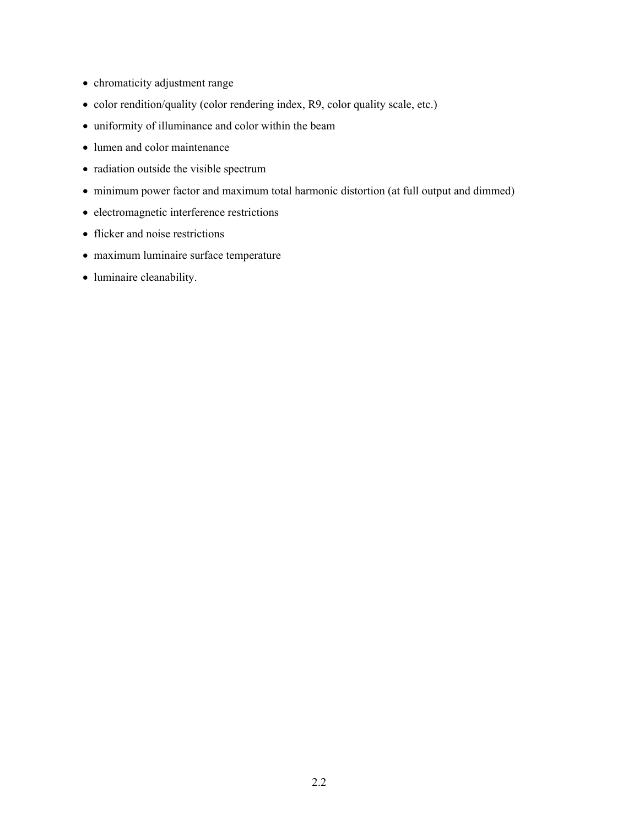- chromaticity adjustment range
- color rendition/quality (color rendering index, R9, color quality scale, etc.)
- uniformity of illuminance and color within the beam
- lumen and color maintenance
- radiation outside the visible spectrum
- minimum power factor and maximum total harmonic distortion (at full output and dimmed)
- electromagnetic interference restrictions
- flicker and noise restrictions
- maximum luminaire surface temperature
- luminaire cleanability.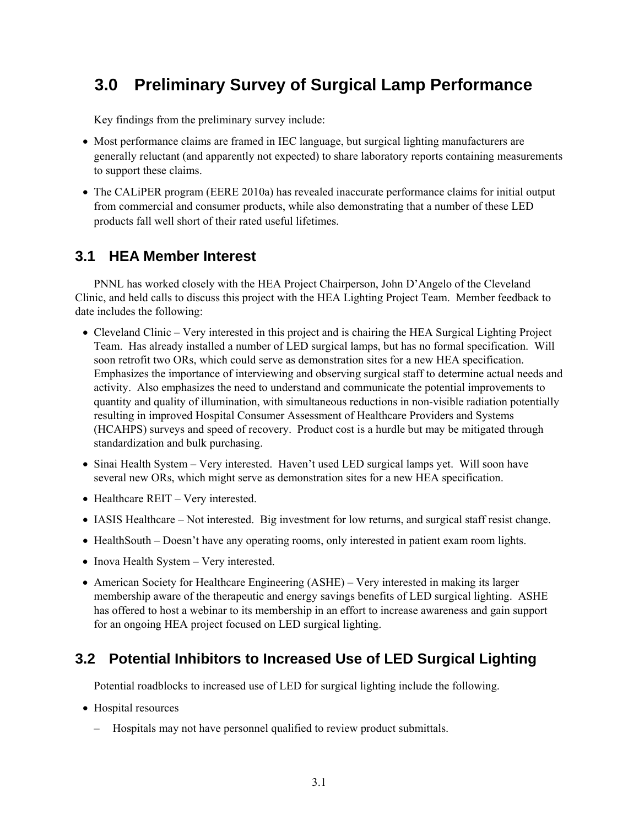## **3.0 Preliminary Survey of Surgical Lamp Performance**

Key findings from the preliminary survey include:

- Most performance claims are framed in IEC language, but surgical lighting manufacturers are generally reluctant (and apparently not expected) to share laboratory reports containing measurements to support these claims.
- The CALIPER program (EERE 2010a) has revealed inaccurate performance claims for initial output from commercial and consumer products, while also demonstrating that a number of these LED products fall well short of their rated useful lifetimes.

### **3.1 HEA Member Interest**

PNNL has worked closely with the HEA Project Chairperson, John D'Angelo of the Cleveland Clinic, and held calls to discuss this project with the HEA Lighting Project Team. Member feedback to date includes the following:

- Cleveland Clinic Very interested in this project and is chairing the HEA Surgical Lighting Project Team. Has already installed a number of LED surgical lamps, but has no formal specification. Will soon retrofit two ORs, which could serve as demonstration sites for a new HEA specification. Emphasizes the importance of interviewing and observing surgical staff to determine actual needs and activity. Also emphasizes the need to understand and communicate the potential improvements to quantity and quality of illumination, with simultaneous reductions in non-visible radiation potentially resulting in improved Hospital Consumer Assessment of Healthcare Providers and Systems (HCAHPS) surveys and speed of recovery. Product cost is a hurdle but may be mitigated through standardization and bulk purchasing.
- Sinai Health System Very interested. Haven't used LED surgical lamps yet. Will soon have several new ORs, which might serve as demonstration sites for a new HEA specification.
- Healthcare REIT Very interested.
- IASIS Healthcare Not interested. Big investment for low returns, and surgical staff resist change.
- HealthSouth Doesn't have any operating rooms, only interested in patient exam room lights.
- Inova Health System Very interested.
- American Society for Healthcare Engineering (ASHE) Very interested in making its larger membership aware of the therapeutic and energy savings benefits of LED surgical lighting. ASHE has offered to host a webinar to its membership in an effort to increase awareness and gain support for an ongoing HEA project focused on LED surgical lighting.

### **3.2 Potential Inhibitors to Increased Use of LED Surgical Lighting**

Potential roadblocks to increased use of LED for surgical lighting include the following.

- Hospital resources
	- Hospitals may not have personnel qualified to review product submittals.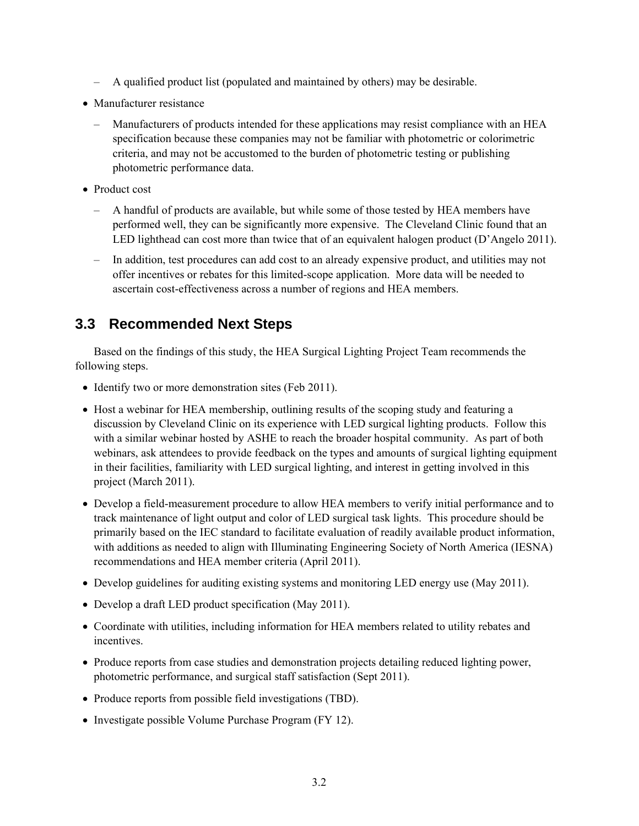- A qualified product list (populated and maintained by others) may be desirable.
- Manufacturer resistance
	- Manufacturers of products intended for these applications may resist compliance with an HEA specification because these companies may not be familiar with photometric or colorimetric criteria, and may not be accustomed to the burden of photometric testing or publishing photometric performance data.
- Product cost
	- A handful of products are available, but while some of those tested by HEA members have performed well, they can be significantly more expensive. The Cleveland Clinic found that an LED lighthead can cost more than twice that of an equivalent halogen product (D'Angelo 2011).
	- In addition, test procedures can add cost to an already expensive product, and utilities may not offer incentives or rebates for this limited-scope application. More data will be needed to ascertain cost-effectiveness across a number of regions and HEA members.

#### **3.3 Recommended Next Steps**

Based on the findings of this study, the HEA Surgical Lighting Project Team recommends the following steps.

- Identify two or more demonstration sites (Feb 2011).
- Host a webinar for HEA membership, outlining results of the scoping study and featuring a discussion by Cleveland Clinic on its experience with LED surgical lighting products. Follow this with a similar webinar hosted by ASHE to reach the broader hospital community. As part of both webinars, ask attendees to provide feedback on the types and amounts of surgical lighting equipment in their facilities, familiarity with LED surgical lighting, and interest in getting involved in this project (March 2011).
- Develop a field-measurement procedure to allow HEA members to verify initial performance and to track maintenance of light output and color of LED surgical task lights. This procedure should be primarily based on the IEC standard to facilitate evaluation of readily available product information, with additions as needed to align with Illuminating Engineering Society of North America (IESNA) recommendations and HEA member criteria (April 2011).
- Develop guidelines for auditing existing systems and monitoring LED energy use (May 2011).
- Develop a draft LED product specification (May 2011).
- Coordinate with utilities, including information for HEA members related to utility rebates and incentives.
- Produce reports from case studies and demonstration projects detailing reduced lighting power, photometric performance, and surgical staff satisfaction (Sept 2011).
- Produce reports from possible field investigations (TBD).
- Investigate possible Volume Purchase Program (FY 12).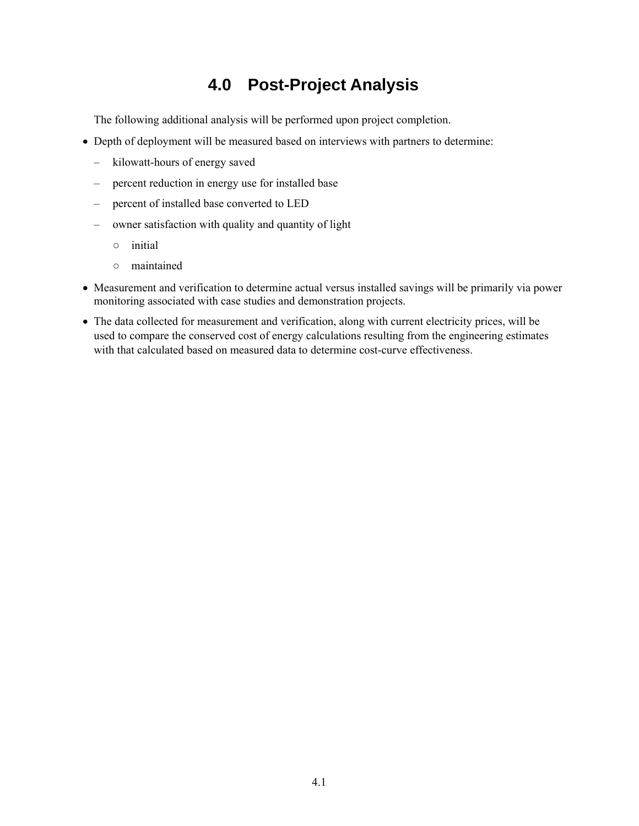## **4.0 Post-Project Analysis**

The following additional analysis will be performed upon project completion.

- Depth of deployment will be measured based on interviews with partners to determine:
	- kilowatt-hours of energy saved
	- percent reduction in energy use for installed base
	- percent of installed base converted to LED
	- owner satisfaction with quality and quantity of light
		- initial
		- maintained
- Measurement and verification to determine actual versus installed savings will be primarily via power monitoring associated with case studies and demonstration projects.
- The data collected for measurement and verification, along with current electricity prices, will be used to compare the conserved cost of energy calculations resulting from the engineering estimates with that calculated based on measured data to determine cost-curve effectiveness.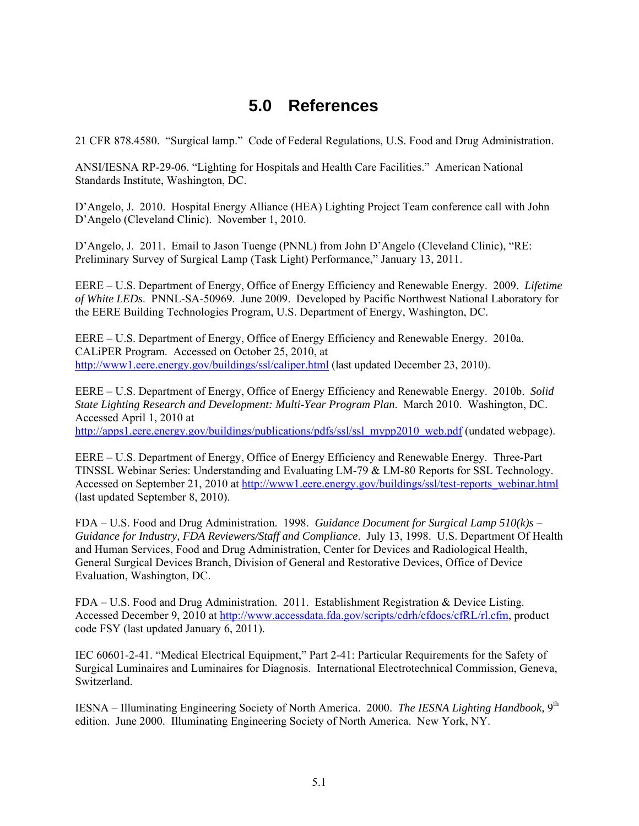## **5.0 References**

21 CFR 878.4580. "Surgical lamp." Code of Federal Regulations, U.S. Food and Drug Administration.

ANSI/IESNA RP-29-06. "Lighting for Hospitals and Health Care Facilities." American National Standards Institute, Washington, DC.

D'Angelo, J. 2010. Hospital Energy Alliance (HEA) Lighting Project Team conference call with John D'Angelo (Cleveland Clinic). November 1, 2010.

D'Angelo, J. 2011. Email to Jason Tuenge (PNNL) from John D'Angelo (Cleveland Clinic), "RE: Preliminary Survey of Surgical Lamp (Task Light) Performance," January 13, 2011.

EERE – U.S. Department of Energy, Office of Energy Efficiency and Renewable Energy. 2009. *Lifetime of White LEDs*. PNNL-SA-50969. June 2009. Developed by Pacific Northwest National Laboratory for the EERE Building Technologies Program, U.S. Department of Energy, Washington, DC.

EERE – U.S. Department of Energy, Office of Energy Efficiency and Renewable Energy. 2010a. CALiPER Program. Accessed on October 25, 2010, at http://www1.eere.energy.gov/buildings/ssl/caliper.html (last updated December 23, 2010).

EERE – U.S. Department of Energy, Office of Energy Efficiency and Renewable Energy. 2010b. *Solid State Lighting Research and Development: Multi-Year Program Plan*. March 2010. Washington, DC. Accessed April 1, 2010 at

http://apps1.eere.energy.gov/buildings/publications/pdfs/ssl/ssl\_mypp2010\_web.pdf (undated webpage).

EERE – U.S. Department of Energy, Office of Energy Efficiency and Renewable Energy. Three-Part TINSSL Webinar Series: Understanding and Evaluating LM-79 & LM-80 Reports for SSL Technology. Accessed on September 21, 2010 at http://www1.eere.energy.gov/buildings/ssl/test-reports\_webinar.html (last updated September 8, 2010).

FDA – U.S. Food and Drug Administration. 1998. *Guidance Document for Surgical Lamp 510(k)s – Guidance for Industry, FDA Reviewers/Staff and Compliance*. July 13, 1998. U.S. Department Of Health and Human Services, Food and Drug Administration, Center for Devices and Radiological Health, General Surgical Devices Branch, Division of General and Restorative Devices, Office of Device Evaluation, Washington, DC.

FDA – U.S. Food and Drug Administration. 2011. Establishment Registration & Device Listing. Accessed December 9, 2010 at http://www.accessdata.fda.gov/scripts/cdrh/cfdocs/cfRL/rl.cfm, product code FSY (last updated January 6, 2011).

IEC 60601-2-41. "Medical Electrical Equipment," Part 2-41: Particular Requirements for the Safety of Surgical Luminaires and Luminaires for Diagnosis. International Electrotechnical Commission, Geneva, Switzerland.

IESNA – Illuminating Engineering Society of North America. 2000. *The IESNA Lighting Handbook,* 9th edition. June 2000. Illuminating Engineering Society of North America. New York, NY.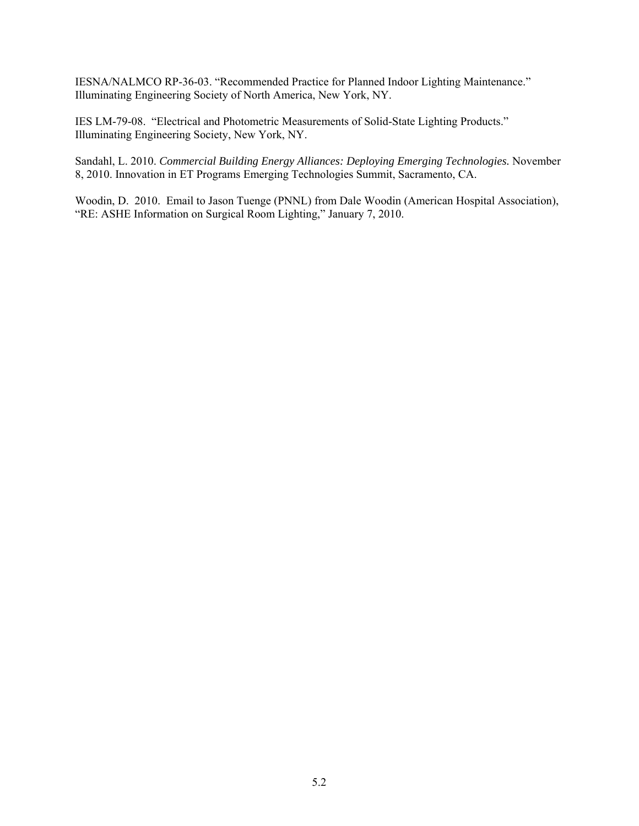IESNA/NALMCO RP-36-03. "Recommended Practice for Planned Indoor Lighting Maintenance." Illuminating Engineering Society of North America, New York, NY.

IES LM-79-08. "Electrical and Photometric Measurements of Solid-State Lighting Products." Illuminating Engineering Society, New York, NY.

Sandahl, L. 2010. *Commercial Building Energy Alliances: Deploying Emerging Technologies.* November 8, 2010. Innovation in ET Programs Emerging Technologies Summit, Sacramento, CA.

Woodin, D. 2010. Email to Jason Tuenge (PNNL) from Dale Woodin (American Hospital Association), "RE: ASHE Information on Surgical Room Lighting," January 7, 2010.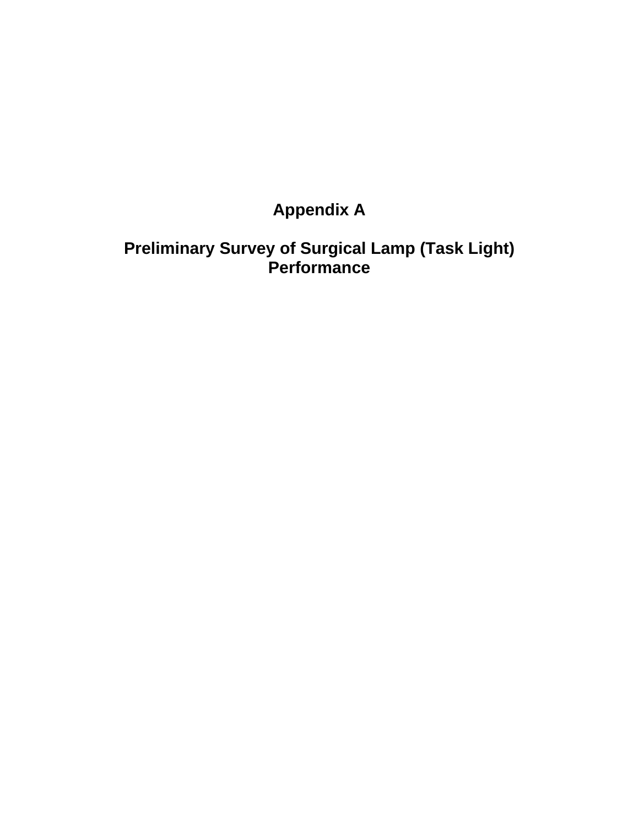# **Appendix A**

## **Preliminary Survey of Surgical Lamp (Task Light) Performance**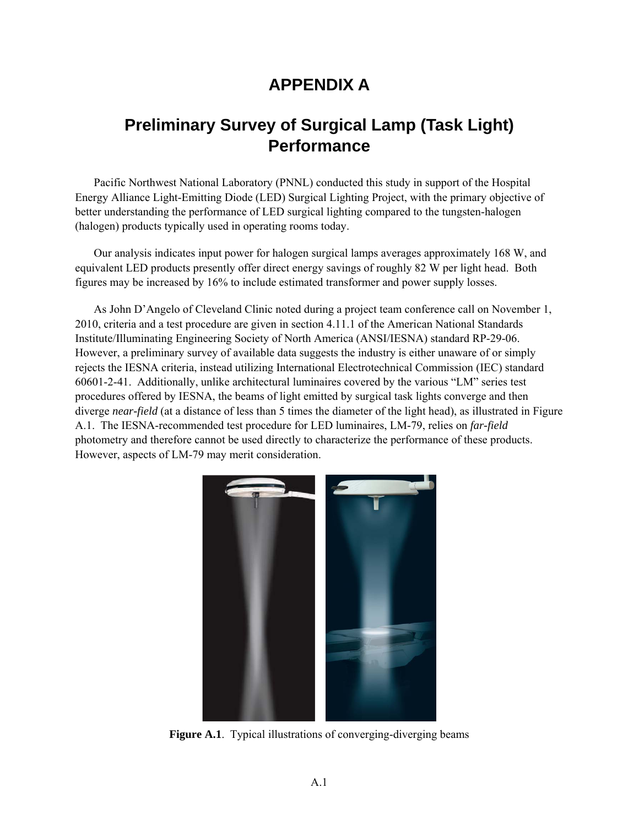## **APPENDIX A**

## **Preliminary Survey of Surgical Lamp (Task Light) Performance**

Pacific Northwest National Laboratory (PNNL) conducted this study in support of the Hospital Energy Alliance Light-Emitting Diode (LED) Surgical Lighting Project, with the primary objective of better understanding the performance of LED surgical lighting compared to the tungsten-halogen (halogen) products typically used in operating rooms today.

Our analysis indicates input power for halogen surgical lamps averages approximately 168 W, and equivalent LED products presently offer direct energy savings of roughly 82 W per light head. Both figures may be increased by 16% to include estimated transformer and power supply losses.

As John D'Angelo of Cleveland Clinic noted during a project team conference call on November 1, 2010, criteria and a test procedure are given in section 4.11.1 of the American National Standards Institute/Illuminating Engineering Society of North America (ANSI/IESNA) standard RP-29-06. However, a preliminary survey of available data suggests the industry is either unaware of or simply rejects the IESNA criteria, instead utilizing International Electrotechnical Commission (IEC) standard 60601-2-41. Additionally, unlike architectural luminaires covered by the various "LM" series test procedures offered by IESNA, the beams of light emitted by surgical task lights converge and then diverge *near-field* (at a distance of less than 5 times the diameter of the light head), as illustrated in Figure A.1. The IESNA-recommended test procedure for LED luminaires, LM-79, relies on *far-field* photometry and therefore cannot be used directly to characterize the performance of these products. However, aspects of LM-79 may merit consideration.



**Figure A.1**. Typical illustrations of converging-diverging beams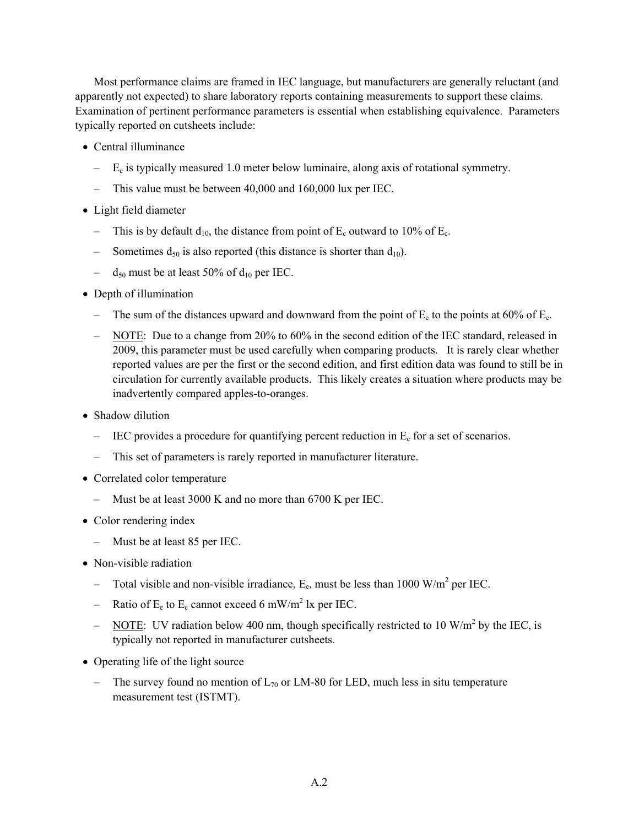Most performance claims are framed in IEC language, but manufacturers are generally reluctant (and apparently not expected) to share laboratory reports containing measurements to support these claims. Examination of pertinent performance parameters is essential when establishing equivalence. Parameters typically reported on cutsheets include:

- Central illuminance
	- $-$  E<sub>c</sub> is typically measured 1.0 meter below luminaire, along axis of rotational symmetry.
	- This value must be between 40,000 and 160,000 lux per IEC.
- Light field diameter
	- This is by default  $d_{10}$ , the distance from point of  $E_c$  outward to 10% of  $E_c$ .
	- Sometimes  $d_{50}$  is also reported (this distance is shorter than  $d_{10}$ ).
	- $d_{50}$  must be at least 50% of  $d_{10}$  per IEC.
- Depth of illumination
	- The sum of the distances upward and downward from the point of  $E_c$  to the points at 60% of  $E_c$ .
	- NOTE: Due to a change from 20% to 60% in the second edition of the IEC standard, released in 2009, this parameter must be used carefully when comparing products. It is rarely clear whether reported values are per the first or the second edition, and first edition data was found to still be in circulation for currently available products. This likely creates a situation where products may be inadvertently compared apples-to-oranges.
- Shadow dilution
	- $-$  IEC provides a procedure for quantifying percent reduction in  $E_c$  for a set of scenarios.
	- This set of parameters is rarely reported in manufacturer literature.
- Correlated color temperature
	- Must be at least 3000 K and no more than 6700 K per IEC.
- Color rendering index
	- Must be at least 85 per IEC.
- Non-visible radiation
	- Total visible and non-visible irradiance,  $E_e$ , must be less than 1000 W/m<sup>2</sup> per IEC.
	- Ratio of  $E_e$  to  $E_c$  cannot exceed 6 mW/m<sup>2</sup> lx per IEC.
	- $-$  NOTE: UV radiation below 400 nm, though specifically restricted to 10 W/m<sup>2</sup> by the IEC, is typically not reported in manufacturer cutsheets.
- Operating life of the light source
	- The survey found no mention of  $L_{70}$  or LM-80 for LED, much less in situ temperature measurement test (ISTMT).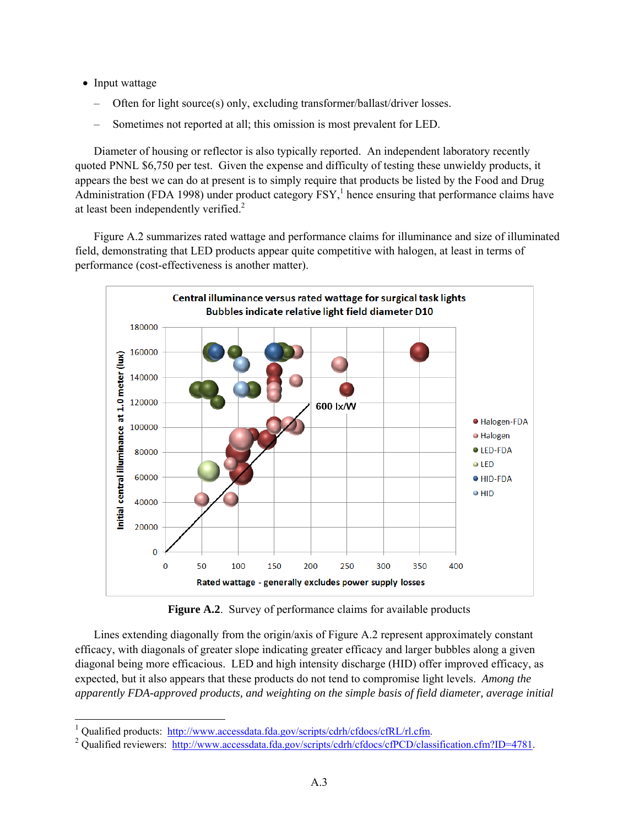• Input wattage

1

- Often for light source(s) only, excluding transformer/ballast/driver losses.
- Sometimes not reported at all; this omission is most prevalent for LED.

Diameter of housing or reflector is also typically reported. An independent laboratory recently quoted PNNL \$6,750 per test. Given the expense and difficulty of testing these unwieldy products, it appears the best we can do at present is to simply require that products be listed by the Food and Drug Administration (FDA 1998) under product category  $FSY$ ,<sup>1</sup> hence ensuring that performance claims have at least been independently verified. $2$ 

Figure A.2 summarizes rated wattage and performance claims for illuminance and size of illuminated field, demonstrating that LED products appear quite competitive with halogen, at least in terms of performance (cost-effectiveness is another matter).



**Figure A.2**. Survey of performance claims for available products

Lines extending diagonally from the origin/axis of Figure A.2 represent approximately constant efficacy, with diagonals of greater slope indicating greater efficacy and larger bubbles along a given diagonal being more efficacious. LED and high intensity discharge (HID) offer improved efficacy, as expected, but it also appears that these products do not tend to compromise light levels. *Among the apparently FDA-approved products, and weighting on the simple basis of field diameter, average initial* 

<sup>1</sup> Qualified products: http://www.accessdata.fda.gov/scripts/cdrh/cfdocs/cfRL/rl.cfm. 2

<sup>&</sup>lt;sup>2</sup> Qualified reviewers: http://www.accessdata.fda.gov/scripts/cdrh/cfdocs/cfPCD/classification.cfm?ID=4781.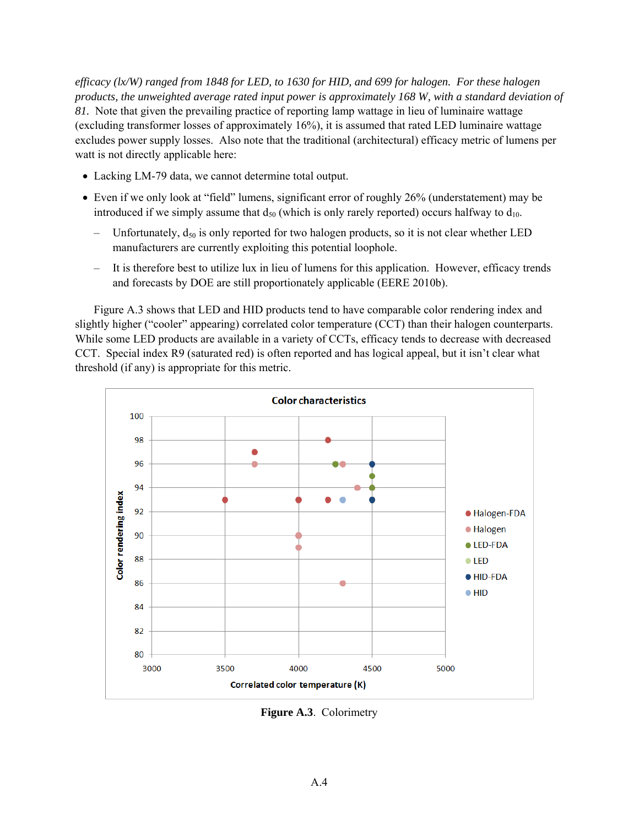*efficacy (lx/W) ranged from 1848 for LED, to 1630 for HID, and 699 for halogen. For these halogen products, the unweighted average rated input power is approximately 168 W, with a standard deviation of 81.* Note that given the prevailing practice of reporting lamp wattage in lieu of luminaire wattage (excluding transformer losses of approximately 16%), it is assumed that rated LED luminaire wattage excludes power supply losses. Also note that the traditional (architectural) efficacy metric of lumens per watt is not directly applicable here:

- Lacking LM-79 data, we cannot determine total output.
- Even if we only look at "field" lumens, significant error of roughly 26% (understatement) may be introduced if we simply assume that  $d_{50}$  (which is only rarely reported) occurs halfway to  $d_{10}$ .
	- Unfortunately,  $d_{50}$  is only reported for two halogen products, so it is not clear whether LED manufacturers are currently exploiting this potential loophole.
	- It is therefore best to utilize lux in lieu of lumens for this application. However, efficacy trends and forecasts by DOE are still proportionately applicable (EERE 2010b).

Figure A.3 shows that LED and HID products tend to have comparable color rendering index and slightly higher ("cooler" appearing) correlated color temperature (CCT) than their halogen counterparts. While some LED products are available in a variety of CCTs, efficacy tends to decrease with decreased CCT. Special index R9 (saturated red) is often reported and has logical appeal, but it isn't clear what threshold (if any) is appropriate for this metric.



**Figure A.3**. Colorimetry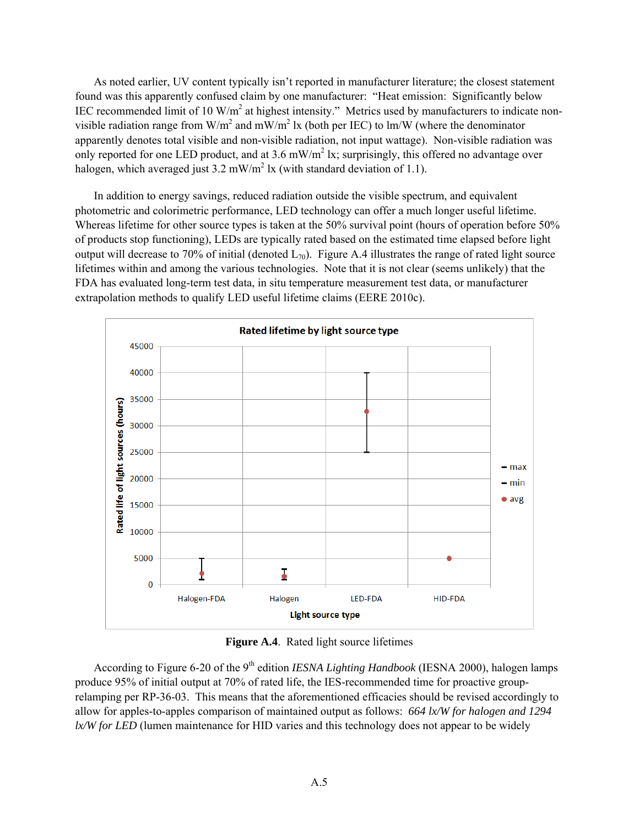As noted earlier, UV content typically isn't reported in manufacturer literature; the closest statement found was this apparently confused claim by one manufacturer: "Heat emission: Significantly below IEC recommended limit of 10 W/m<sup>2</sup> at highest intensity." Metrics used by manufacturers to indicate nonvisible radiation range from W/m<sup>2</sup> and mW/m<sup>2</sup> lx (both per IEC) to lm/W (where the denominator apparently denotes total visible and non-visible radiation, not input wattage). Non-visible radiation was only reported for one LED product, and at 3.6 mW/m<sup>2</sup> lx; surprisingly, this offered no advantage over halogen, which averaged just  $3.2 \text{ mW/m}^2$  lx (with standard deviation of 1.1).

In addition to energy savings, reduced radiation outside the visible spectrum, and equivalent photometric and colorimetric performance, LED technology can offer a much longer useful lifetime. Whereas lifetime for other source types is taken at the 50% survival point (hours of operation before 50%) of products stop functioning), LEDs are typically rated based on the estimated time elapsed before light output will decrease to 70% of initial (denoted  $L_{70}$ ). Figure A.4 illustrates the range of rated light source lifetimes within and among the various technologies. Note that it is not clear (seems unlikely) that the FDA has evaluated long-term test data, in situ temperature measurement test data, or manufacturer extrapolation methods to qualify LED useful lifetime claims (EERE 2010c).



**Figure A.4**. Rated light source lifetimes

According to Figure 6-20 of the 9<sup>th</sup> edition *IESNA Lighting Handbook* (IESNA 2000), halogen lamps produce 95% of initial output at 70% of rated life, the IES-recommended time for proactive grouprelamping per RP-36-03. This means that the aforementioned efficacies should be revised accordingly to allow for apples-to-apples comparison of maintained output as follows: *664 lx/W for halogen and 1294 lx/W for LED* (lumen maintenance for HID varies and this technology does not appear to be widely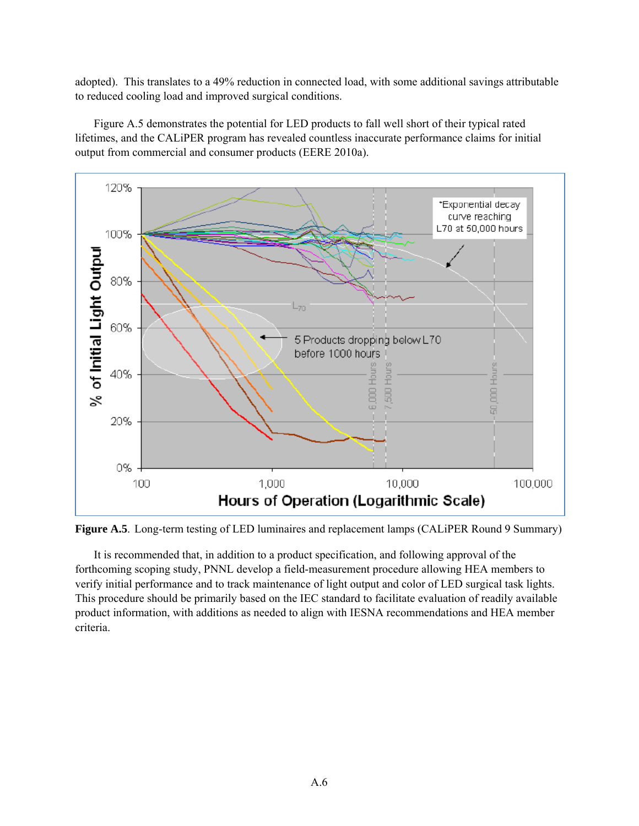adopted). This translates to a 49% reduction in connected load, with some additional savings attributable to reduced cooling load and improved surgical conditions.

Figure A.5 demonstrates the potential for LED products to fall well short of their typical rated lifetimes, and the CALiPER program has revealed countless inaccurate performance claims for initial output from commercial and consumer products (EERE 2010a).



**Figure A.5**. Long-term testing of LED luminaires and replacement lamps (CALiPER Round 9 Summary)

It is recommended that, in addition to a product specification, and following approval of the forthcoming scoping study, PNNL develop a field-measurement procedure allowing HEA members to verify initial performance and to track maintenance of light output and color of LED surgical task lights. This procedure should be primarily based on the IEC standard to facilitate evaluation of readily available product information, with additions as needed to align with IESNA recommendations and HEA member criteria.